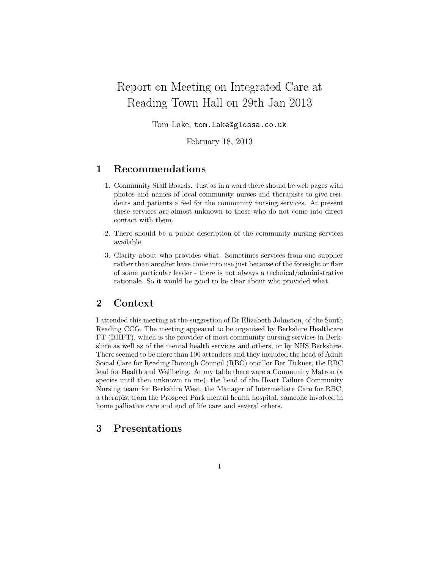# Report on Meeting on Integrated Care at Reading Town Hall on 29th Jan 2013

Tom Lake, tom.lake@glossa.co.uk

February 18, 2013

# 1 Recommendations

- 1. Community Staff Boards. Just as in a ward there should be web pages with photos and names of local community nurses and therapists to give residents and patients a feel for the community nursing services. At present these services are almost unknown to those who do not come into direct contact with them.
- 2. There should be a public description of the community nursing services available.
- 3. Clarity about who provides what. Sometimes services from one supplier rather than another have come into use just because of the foresight or flair of some particular leader - there is not always a technical/administrative rationale. So it would be good to be clear about who provided what.

# 2 Context

I attended this meeting at the suggestion of Dr Elizabeth Johnston, of the South Reading CCG. The meeting appeared to be organised by Berkshire Healthcare FT (BHFT), which is the provider of most community nursing services in Berkshire as well as of the mental health services and others, or by NHS Berkshire. There seemed to be more than 100 attendees and they included the head of Adult Social Care for Reading Borough Council (RBC) oncillor Bet Tickner, the RBC lead for Health and Wellbeing. At my table there were a Community Matron (a species until then unknown to me), the head of the Heart Failure Community Nursing team for Berkshire West, the Manager of Intermediate Care for RBC, a therapist from the Prospect Park mental health hospital, someone involved in home palliative care and end of life care and several others.

# 3 Presentations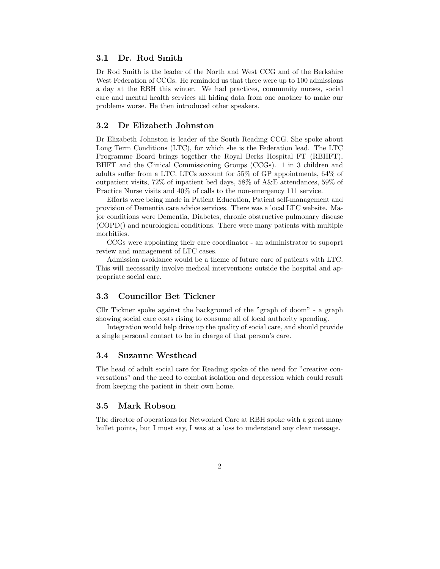## 3.1 Dr. Rod Smith

Dr Rod Smith is the leader of the North and West CCG and of the Berkshire West Federation of CCGs. He reminded us that there were up to 100 admissions a day at the RBH this winter. We had practices, community nurses, social care and mental health services all hiding data from one another to make our problems worse. He then introduced other speakers.

### 3.2 Dr Elizabeth Johnston

Dr Elizabeth Johnston is leader of the South Reading CCG. She spoke about Long Term Conditions (LTC), for which she is the Federation lead. The LTC Programme Board brings together the Royal Berks Hospital FT (RBHFT), BHFT and the Clinical Commissioning Groups (CCGs). 1 in 3 children and adults suffer from a LTC. LTCs account for 55% of GP appointments, 64% of outpatient visits, 72% of inpatient bed days, 58% of A&E attendances, 59% of Practice Nurse visits and 40% of calls to the non-emergency 111 service.

Efforts were being made in Patient Education, Patient self-management and provision of Dementia care advice services. There was a local LTC website. Major conditions were Dementia, Diabetes, chronic obstructive pulmonary disease (COPD() and neurological conditions. There were many patients with multiple morbitiies.

CCGs were appointing their care coordinator - an administrator to supoprt review and management of LTC cases.

Admission avoidance would be a theme of future care of patients with LTC. This will necessarily involve medical interventions outside the hospital and appropriate social care.

## 3.3 Councillor Bet Tickner

Cllr Tickner spoke against the background of the "graph of doom" - a graph showing social care costs rising to consume all of local authority spending.

Integration would help drive up the quality of social care, and should provide a single personal contact to be in charge of that person's care.

## 3.4 Suzanne Westhead

The head of adult social care for Reading spoke of the need for "creative conversations" and the need to combat isolation and depression which could result from keeping the patient in their own home.

#### 3.5 Mark Robson

The director of operations for Networked Care at RBH spoke with a great many bullet points, but I must say, I was at a loss to understand any clear message.